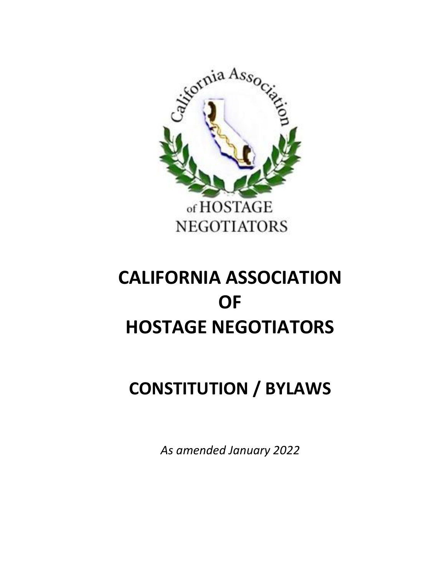

# **CONSTITUTION / BYLAWS**

*As amended January 2022*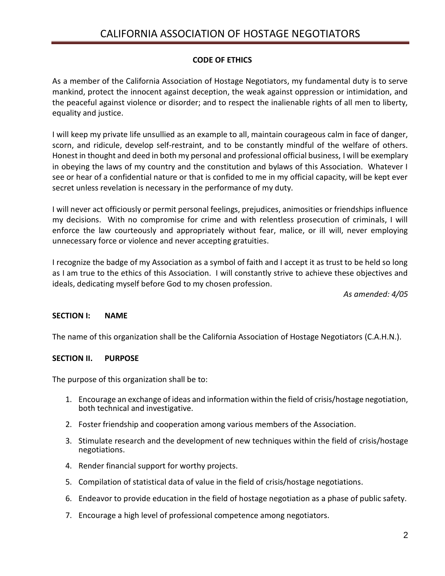#### **CODE OF ETHICS**

As a member of the California Association of Hostage Negotiators, my fundamental duty is to serve mankind, protect the innocent against deception, the weak against oppression or intimidation, and the peaceful against violence or disorder; and to respect the inalienable rights of all men to liberty, equality and justice.

I will keep my private life unsullied as an example to all, maintain courageous calm in face of danger, scorn, and ridicule, develop self-restraint, and to be constantly mindful of the welfare of others. Honest in thought and deed in both my personal and professional official business, I will be exemplary in obeying the laws of my country and the constitution and bylaws of this Association. Whatever I see or hear of a confidential nature or that is confided to me in my official capacity, will be kept ever secret unless revelation is necessary in the performance of my duty.

I will never act officiously or permit personal feelings, prejudices, animosities or friendships influence my decisions. With no compromise for crime and with relentless prosecution of criminals, I will enforce the law courteously and appropriately without fear, malice, or ill will, never employing unnecessary force or violence and never accepting gratuities.

I recognize the badge of my Association as a symbol of faith and I accept it as trust to be held so long as I am true to the ethics of this Association. I will constantly strive to achieve these objectives and ideals, dedicating myself before God to my chosen profession.

*As amended: 4/05*

#### **SECTION I: NAME**

The name of this organization shall be the California Association of Hostage Negotiators (C.A.H.N.).

#### **SECTION II. PURPOSE**

The purpose of this organization shall be to:

- 1. Encourage an exchange of ideas and information within the field of crisis/hostage negotiation, both technical and investigative.
- 2. Foster friendship and cooperation among various members of the Association.
- 3. Stimulate research and the development of new techniques within the field of crisis/hostage negotiations.
- 4. Render financial support for worthy projects.
- 5. Compilation of statistical data of value in the field of crisis/hostage negotiations.
- 6. Endeavor to provide education in the field of hostage negotiation as a phase of public safety.
- 7. Encourage a high level of professional competence among negotiators.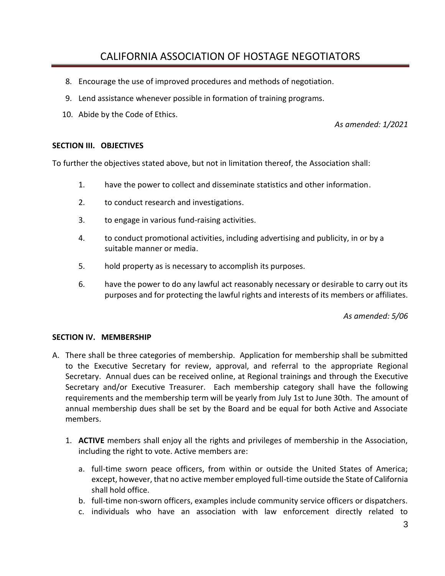- 8. Encourage the use of improved procedures and methods of negotiation.
- 9. Lend assistance whenever possible in formation of training programs.
- 10. Abide by the Code of Ethics.

*As amended: 1/2021*

#### **SECTION III. OBJECTIVES**

To further the objectives stated above, but not in limitation thereof, the Association shall:

- 1. have the power to collect and disseminate statistics and other information.
- 2. to conduct research and investigations.
- 3. to engage in various fund-raising activities.
- 4. to conduct promotional activities, including advertising and publicity, in or by a suitable manner or media.
- 5. hold property as is necessary to accomplish its purposes.
- 6. have the power to do any lawful act reasonably necessary or desirable to carry out its purposes and for protecting the lawful rights and interests of its members or affiliates.

*As amended: 5/06*

#### **SECTION IV. MEMBERSHIP**

- A. There shall be three categories of membership. Application for membership shall be submitted to the Executive Secretary for review, approval, and referral to the appropriate Regional Secretary. Annual dues can be received online, at Regional trainings and through the Executive Secretary and/or Executive Treasurer. Each membership category shall have the following requirements and the membership term will be yearly from July 1st to June 30th. The amount of annual membership dues shall be set by the Board and be equal for both Active and Associate members.
	- 1. **ACTIVE** members shall enjoy all the rights and privileges of membership in the Association, including the right to vote. Active members are:
		- a. full-time sworn peace officers, from within or outside the United States of America; except, however, that no active member employed full-time outside the State of California shall hold office.
		- b. full-time non-sworn officers, examples include community service officers or dispatchers.
		- c. individuals who have an association with law enforcement directly related to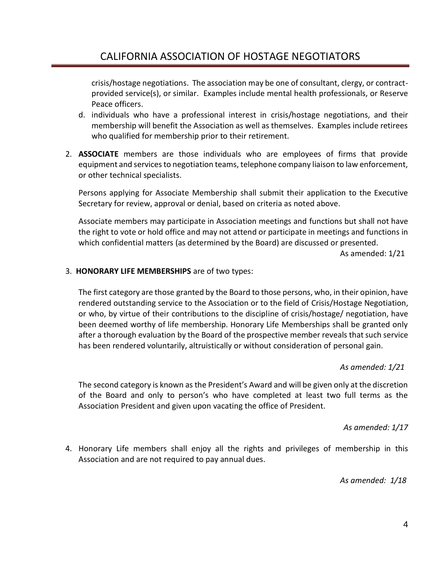crisis/hostage negotiations. The association may be one of consultant, clergy, or contractprovided service(s), or similar. Examples include mental health professionals, or Reserve Peace officers.

- d. individuals who have a professional interest in crisis/hostage negotiations, and their membership will benefit the Association as well as themselves. Examples include retirees who qualified for membership prior to their retirement.
- 2. **ASSOCIATE** members are those individuals who are employees of firms that provide equipment and services to negotiation teams, telephone company liaison to law enforcement, or other technical specialists.

Persons applying for Associate Membership shall submit their application to the Executive Secretary for review, approval or denial, based on criteria as noted above.

Associate members may participate in Association meetings and functions but shall not have the right to vote or hold office and may not attend or participate in meetings and functions in which confidential matters (as determined by the Board) are discussed or presented.

As amended: 1/21

#### 3. **HONORARY LIFE MEMBERSHIPS** are of two types:

The first category are those granted by the Board to those persons, who, in their opinion, have rendered outstanding service to the Association or to the field of Crisis/Hostage Negotiation, or who, by virtue of their contributions to the discipline of crisis/hostage/ negotiation, have been deemed worthy of life membership. Honorary Life Memberships shall be granted only after a thorough evaluation by the Board of the prospective member reveals that such service has been rendered voluntarily, altruistically or without consideration of personal gain.

#### *As amended: 1/21*

The second category is known as the President's Award and will be given only at the discretion of the Board and only to person's who have completed at least two full terms as the Association President and given upon vacating the office of President.

#### *As amended: 1/17*

4. Honorary Life members shall enjoy all the rights and privileges of membership in this Association and are not required to pay annual dues.

*As amended: 1/18*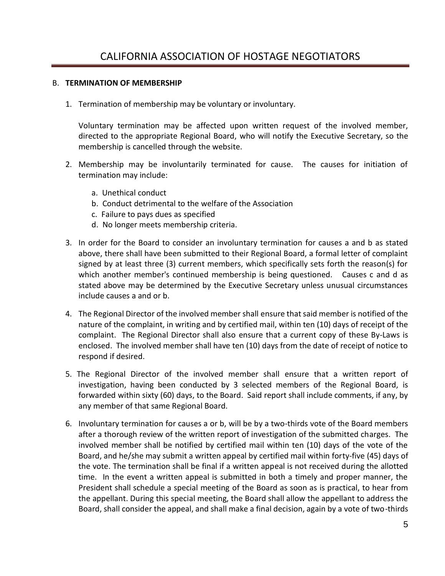#### B. **TERMINATION OF MEMBERSHIP**

1. Termination of membership may be voluntary or involuntary.

Voluntary termination may be affected upon written request of the involved member, directed to the appropriate Regional Board, who will notify the Executive Secretary, so the membership is cancelled through the website.

- 2. Membership may be involuntarily terminated for cause. The causes for initiation of termination may include:
	- a. Unethical conduct
	- b. Conduct detrimental to the welfare of the Association
	- c. Failure to pays dues as specified
	- d. No longer meets membership criteria.
- 3. In order for the Board to consider an involuntary termination for causes a and b as stated above, there shall have been submitted to their Regional Board, a formal letter of complaint signed by at least three (3) current members, which specifically sets forth the reason(s) for which another member's continued membership is being questioned. Causes c and d as stated above may be determined by the Executive Secretary unless unusual circumstances include causes a and or b.
- 4. The Regional Director of the involved member shall ensure that said member is notified of the nature of the complaint, in writing and by certified mail, within ten (10) days of receipt of the complaint. The Regional Director shall also ensure that a current copy of these By-Laws is enclosed. The involved member shall have ten (10) days from the date of receipt of notice to respond if desired.
- 5. The Regional Director of the involved member shall ensure that a written report of investigation, having been conducted by 3 selected members of the Regional Board, is forwarded within sixty (60) days, to the Board. Said report shall include comments, if any, by any member of that same Regional Board.
- 6. Involuntary termination for causes a or b, will be by a two-thirds vote of the Board members after a thorough review of the written report of investigation of the submitted charges. The involved member shall be notified by certified mail within ten (10) days of the vote of the Board, and he/she may submit a written appeal by certified mail within forty-five (45) days of the vote. The termination shall be final if a written appeal is not received during the allotted time. In the event a written appeal is submitted in both a timely and proper manner, the President shall schedule a special meeting of the Board as soon as is practical, to hear from the appellant. During this special meeting, the Board shall allow the appellant to address the Board, shall consider the appeal, and shall make a final decision, again by a vote of two-thirds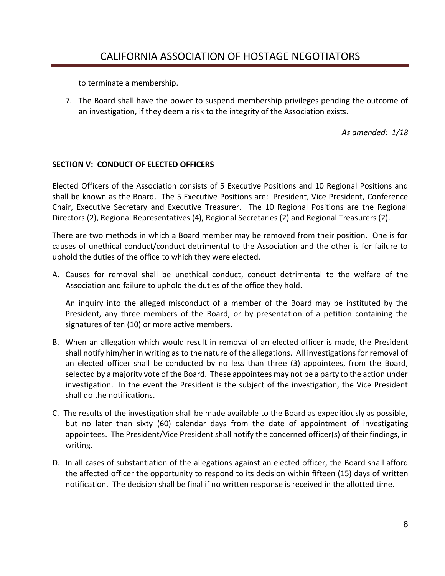to terminate a membership.

7. The Board shall have the power to suspend membership privileges pending the outcome of an investigation, if they deem a risk to the integrity of the Association exists.

*As amended: 1/18*

#### **SECTION V: CONDUCT OF ELECTED OFFICERS**

Elected Officers of the Association consists of 5 Executive Positions and 10 Regional Positions and shall be known as the Board. The 5 Executive Positions are: President, Vice President, Conference Chair, Executive Secretary and Executive Treasurer. The 10 Regional Positions are the Regional Directors (2), Regional Representatives (4), Regional Secretaries (2) and Regional Treasurers (2).

There are two methods in which a Board member may be removed from their position. One is for causes of unethical conduct/conduct detrimental to the Association and the other is for failure to uphold the duties of the office to which they were elected.

A. Causes for removal shall be unethical conduct, conduct detrimental to the welfare of the Association and failure to uphold the duties of the office they hold.

An inquiry into the alleged misconduct of a member of the Board may be instituted by the President, any three members of the Board, or by presentation of a petition containing the signatures of ten (10) or more active members.

- B. When an allegation which would result in removal of an elected officer is made, the President shall notify him/her in writing as to the nature of the allegations. All investigations for removal of an elected officer shall be conducted by no less than three (3) appointees, from the Board, selected by a majority vote of the Board. These appointees may not be a party to the action under investigation. In the event the President is the subject of the investigation, the Vice President shall do the notifications.
- C. The results of the investigation shall be made available to the Board as expeditiously as possible, but no later than sixty (60) calendar days from the date of appointment of investigating appointees. The President/Vice President shall notify the concerned officer(s) of their findings, in writing.
- D. In all cases of substantiation of the allegations against an elected officer, the Board shall afford the affected officer the opportunity to respond to its decision within fifteen (15) days of written notification. The decision shall be final if no written response is received in the allotted time.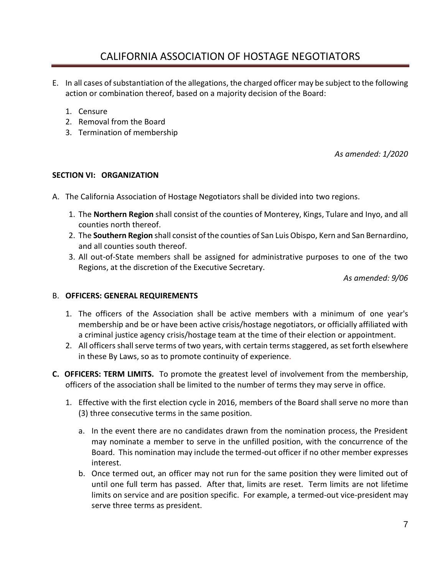- E. In all cases of substantiation of the allegations, the charged officer may be subject to the following action or combination thereof, based on a majority decision of the Board:
	- 1. Censure
	- 2. Removal from the Board
	- 3. Termination of membership

*As amended: 1/2020*

#### **SECTION VI: ORGANIZATION**

- A. The California Association of Hostage Negotiators shall be divided into two regions.
	- 1. The **Northern Region** shall consist of the counties of Monterey, Kings, Tulare and Inyo, and all counties north thereof.
	- 2. The **Southern Region** shall consist of the counties of San Luis Obispo, Kern and San Bernardino, and all counties south thereof.
	- 3. All out-of-State members shall be assigned for administrative purposes to one of the two Regions, at the discretion of the Executive Secretary.

*As amended: 9/06*

#### B. **OFFICERS: GENERAL REQUIREMENTS**

- 1. The officers of the Association shall be active members with a minimum of one year's membership and be or have been active crisis/hostage negotiators, or officially affiliated with a criminal justice agency crisis/hostage team at the time of their election or appointment.
- 2. All officers shall serve terms of two years, with certain terms staggered, as set forth elsewhere in these By Laws, so as to promote continuity of experience.
- **C. OFFICERS: TERM LIMITS.** To promote the greatest level of involvement from the membership, officers of the association shall be limited to the number of terms they may serve in office.
	- 1. Effective with the first election cycle in 2016, members of the Board shall serve no more than (3) three consecutive terms in the same position.
		- a. In the event there are no candidates drawn from the nomination process, the President may nominate a member to serve in the unfilled position, with the concurrence of the Board. This nomination may include the termed-out officer if no other member expresses interest.
		- b. Once termed out, an officer may not run for the same position they were limited out of until one full term has passed. After that, limits are reset. Term limits are not lifetime limits on service and are position specific. For example, a termed-out vice-president may serve three terms as president.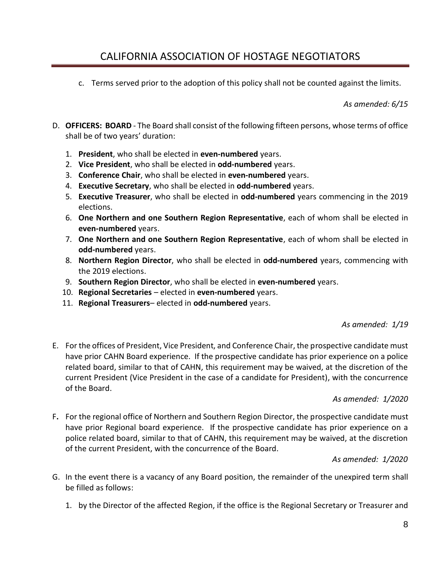c. Terms served prior to the adoption of this policy shall not be counted against the limits.

*As amended: 6/15*

- D. **OFFICERS: BOARD** The Board shall consist of the following fifteen persons, whose terms of office shall be of two years' duration:
	- 1. **President**, who shall be elected in **even-numbered** years.
	- 2. **Vice President**, who shall be elected in **odd-numbered** years.
	- 3. **Conference Chair**, who shall be elected in **even-numbered** years.
	- 4. **Executive Secretary**, who shall be elected in **odd-numbered** years.
	- 5. **Executive Treasurer**, who shall be elected in **odd-numbered** years commencing in the 2019 elections.
	- 6. **One Northern and one Southern Region Representative**, each of whom shall be elected in **even-numbered** years.
	- 7. **One Northern and one Southern Region Representative**, each of whom shall be elected in **odd-numbered** years.
	- 8. **Northern Region Director**, who shall be elected in **odd-numbered** years, commencing with the 2019 elections.
	- 9. **Southern Region Director**, who shall be elected in **even-numbered** years.
	- 10. **Regional Secretaries** elected in **even-numbered** years.
	- 11. **Regional Treasurers** elected in **odd-numbered** years.

#### *As amended: 1/19*

E. For the offices of President, Vice President, and Conference Chair, the prospective candidate must have prior CAHN Board experience. If the prospective candidate has prior experience on a police related board, similar to that of CAHN, this requirement may be waived, at the discretion of the current President (Vice President in the case of a candidate for President), with the concurrence of the Board.

#### *As amended: 1/2020*

F**.** For the regional office of Northern and Southern Region Director, the prospective candidate must have prior Regional board experience. If the prospective candidate has prior experience on a police related board, similar to that of CAHN, this requirement may be waived, at the discretion of the current President, with the concurrence of the Board.

#### *As amended: 1/2020*

- G. In the event there is a vacancy of any Board position, the remainder of the unexpired term shall be filled as follows:
	- 1. by the Director of the affected Region, if the office is the Regional Secretary or Treasurer and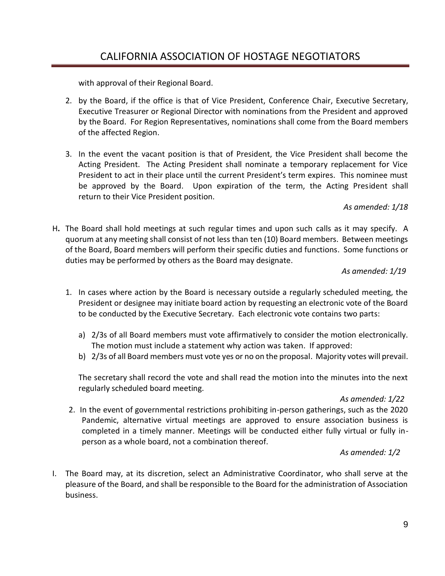with approval of their Regional Board.

- 2. by the Board, if the office is that of Vice President, Conference Chair, Executive Secretary, Executive Treasurer or Regional Director with nominations from the President and approved by the Board. For Region Representatives, nominations shall come from the Board members of the affected Region.
- 3. In the event the vacant position is that of President, the Vice President shall become the Acting President. The Acting President shall nominate a temporary replacement for Vice President to act in their place until the current President's term expires. This nominee must be approved by the Board. Upon expiration of the term, the Acting President shall return to their Vice President position.

#### *As amended: 1/18*

H**.** The Board shall hold meetings at such regular times and upon such calls as it may specify. A quorum at any meeting shall consist of not less than ten (10) Board members. Between meetings of the Board, Board members will perform their specific duties and functions. Some functions or duties may be performed by others as the Board may designate.

#### *As amended: 1/19*

- 1. In cases where action by the Board is necessary outside a regularly scheduled meeting, the President or designee may initiate board action by requesting an electronic vote of the Board to be conducted by the Executive Secretary. Each electronic vote contains two parts:
	- a) 2/3s of all Board members must vote affirmatively to consider the motion electronically. The motion must include a statement why action was taken. If approved:
	- b) 2/3s of all Board members must vote yes or no on the proposal. Majority votes will prevail.

The secretary shall record the vote and shall read the motion into the minutes into the next regularly scheduled board meeting.

#### *As amended: 1/22*

2. In the event of governmental restrictions prohibiting in-person gatherings, such as the 2020 Pandemic, alternative virtual meetings are approved to ensure association business is completed in a timely manner. Meetings will be conducted either fully virtual or fully inperson as a whole board, not a combination thereof.

#### *As amended: 1/2*

I. The Board may, at its discretion, select an Administrative Coordinator, who shall serve at the pleasure of the Board, and shall be responsible to the Board for the administration of Association business.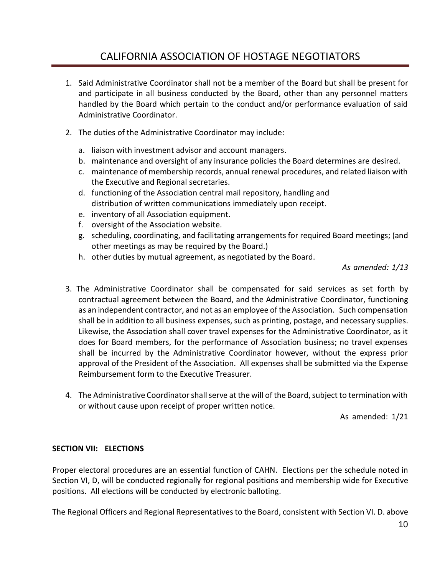- 1. Said Administrative Coordinator shall not be a member of the Board but shall be present for and participate in all business conducted by the Board, other than any personnel matters handled by the Board which pertain to the conduct and/or performance evaluation of said Administrative Coordinator.
- 2. The duties of the Administrative Coordinator may include:
	- a. liaison with investment advisor and account managers.
	- b. maintenance and oversight of any insurance policies the Board determines are desired.
	- c. maintenance of membership records, annual renewal procedures, and related liaison with the Executive and Regional secretaries.
	- d. functioning of the Association central mail repository, handling and distribution of written communications immediately upon receipt.
	- e. inventory of all Association equipment.
	- f. oversight of the Association website.
	- g. scheduling, coordinating, and facilitating arrangements for required Board meetings; (and other meetings as may be required by the Board.)
	- h. other duties by mutual agreement, as negotiated by the Board.

*As amended: 1/13*

- 3. The Administrative Coordinator shall be compensated for said services as set forth by contractual agreement between the Board, and the Administrative Coordinator, functioning as an independent contractor, and not as an employee of the Association. Such compensation shall be in addition to all business expenses, such as printing, postage, and necessary supplies. Likewise, the Association shall cover travel expenses for the Administrative Coordinator, as it does for Board members, for the performance of Association business; no travel expenses shall be incurred by the Administrative Coordinator however, without the express prior approval of the President of the Association. All expenses shall be submitted via the Expense Reimbursement form to the Executive Treasurer.
- 4. The Administrative Coordinator shall serve at the will of the Board, subject to termination with or without cause upon receipt of proper written notice.

As amended: 1/21

#### **SECTION VII: ELECTIONS**

Proper electoral procedures are an essential function of CAHN. Elections per the schedule noted in Section VI, D, will be conducted regionally for regional positions and membership wide for Executive positions. All elections will be conducted by electronic balloting.

The Regional Officers and Regional Representatives to the Board, consistent with Section VI. D. above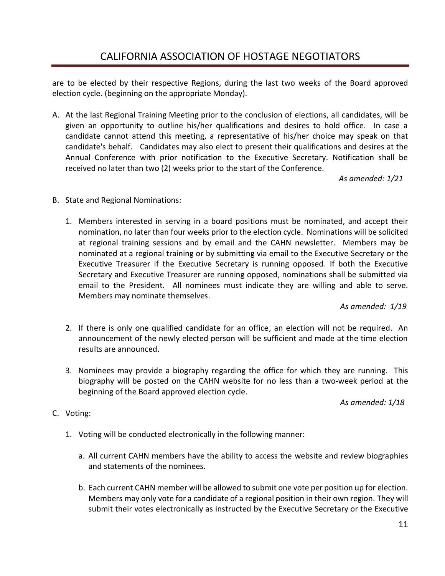are to be elected by their respective Regions, during the last two weeks of the Board approved election cycle. (beginning on the appropriate Monday).

A. At the last Regional Training Meeting prior to the conclusion of elections, all candidates, will be given an opportunity to outline his/her qualifications and desires to hold office. In case a candidate cannot attend this meeting, a representative of his/her choice may speak on that candidate's behalf. Candidates may also elect to present their qualifications and desires at the Annual Conference with prior notification to the Executive Secretary. Notification shall be received no later than two (2) weeks prior to the start of the Conference.

 *As amended: 1/21*

- B. State and Regional Nominations:
	- 1. Members interested in serving in a board positions must be nominated, and accept their nomination, no later than four weeks prior to the election cycle. Nominations will be solicited at regional training sessions and by email and the CAHN newsletter. Members may be nominated at a regional training or by submitting via email to the Executive Secretary or the Executive Treasurer if the Executive Secretary is running opposed. If both the Executive Secretary and Executive Treasurer are running opposed, nominations shall be submitted via email to the President. All nominees must indicate they are willing and able to serve. Members may nominate themselves.

*As amended: 1/19*

- 2. If there is only one qualified candidate for an office, an election will not be required. An announcement of the newly elected person will be sufficient and made at the time election results are announced.
- 3. Nominees may provide a biography regarding the office for which they are running. This biography will be posted on the CAHN website for no less than a two-week period at the beginning of the Board approved election cycle.

*As amended: 1/18*

- C. Voting:
	- 1. Voting will be conducted electronically in the following manner:
		- a. All current CAHN members have the ability to access the website and review biographies and statements of the nominees.
		- b. Each current CAHN member will be allowed to submit one vote per position up for election. Members may only vote for a candidate of a regional position in their own region. They will submit their votes electronically as instructed by the Executive Secretary or the Executive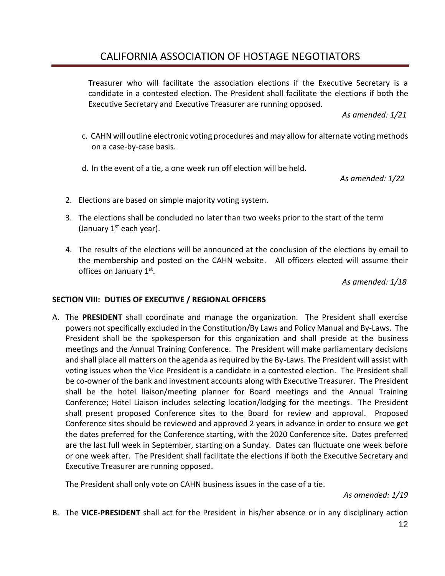Treasurer who will facilitate the association elections if the Executive Secretary is a candidate in a contested election. The President shall facilitate the elections if both the Executive Secretary and Executive Treasurer are running opposed.

*As amended: 1/21*

- c.CAHN will outline electronic voting procedures and may allow for alternate voting methods on a case-by-case basis.
- d. In the event of a tie, a one week run off election will be held.

*As amended: 1/22*

- 2. Elections are based on simple majority voting system.
- 3. The elections shall be concluded no later than two weeks prior to the start of the term (January  $1<sup>st</sup>$  each year).
- 4. The results of the elections will be announced at the conclusion of the elections by email to the membership and posted on the CAHN website. All officers elected will assume their offices on January 1st.

*As amended: 1/18*

#### **SECTION VIII: DUTIES OF EXECUTIVE / REGIONAL OFFICERS**

A. The **PRESIDENT** shall coordinate and manage the organization. The President shall exercise powers not specifically excluded in the Constitution/By Laws and Policy Manual and By-Laws. The President shall be the spokesperson for this organization and shall preside at the business meetings and the Annual Training Conference. The President will make parliamentary decisions and shall place all matters on the agenda as required by the By-Laws. The President will assist with voting issues when the Vice President is a candidate in a contested election. The President shall be co-owner of the bank and investment accounts along with Executive Treasurer. The President shall be the hotel liaison/meeting planner for Board meetings and the Annual Training Conference; Hotel Liaison includes selecting location/lodging for the meetings. The President shall present proposed Conference sites to the Board for review and approval. Proposed Conference sites should be reviewed and approved 2 years in advance in order to ensure we get the dates preferred for the Conference starting, with the 2020 Conference site. Dates preferred are the last full week in September, starting on a Sunday. Dates can fluctuate one week before or one week after. The President shall facilitate the elections if both the Executive Secretary and Executive Treasurer are running opposed.

The President shall only vote on CAHN business issues in the case of a tie.

 *As amended: 1/19*

B. The **VICE-PRESIDENT** shall act for the President in his/her absence or in any disciplinary action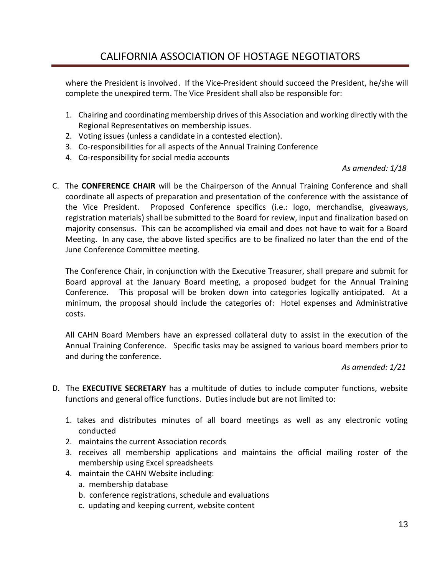where the President is involved. If the Vice-President should succeed the President, he/she will complete the unexpired term. The Vice President shall also be responsible for:

- 1. Chairing and coordinating membership drives of this Association and working directly with the Regional Representatives on membership issues.
- 2. Voting issues (unless a candidate in a contested election).
- 3. Co-responsibilities for all aspects of the Annual Training Conference
- 4. Co-responsibility for social media accounts

#### *As amended: 1/18*

C. The **CONFERENCE CHAIR** will be the Chairperson of the Annual Training Conference and shall coordinate all aspects of preparation and presentation of the conference with the assistance of the Vice President. Proposed Conference specifics (i.e.: logo, merchandise, giveaways, registration materials) shall be submitted to the Board for review, input and finalization based on majority consensus. This can be accomplished via email and does not have to wait for a Board Meeting. In any case, the above listed specifics are to be finalized no later than the end of the June Conference Committee meeting.

The Conference Chair, in conjunction with the Executive Treasurer, shall prepare and submit for Board approval at the January Board meeting, a proposed budget for the Annual Training Conference. This proposal will be broken down into categories logically anticipated. At a minimum, the proposal should include the categories of: Hotel expenses and Administrative costs.

All CAHN Board Members have an expressed collateral duty to assist in the execution of the Annual Training Conference. Specific tasks may be assigned to various board members prior to and during the conference.

#### *As amended: 1/21*

- D.The **EXECUTIVE SECRETARY** has a multitude of duties to include computer functions, website functions and general office functions. Duties include but are not limited to:
	- 1. takes and distributes minutes of all board meetings as well as any electronic voting conducted
	- 2. maintains the current Association records
	- 3. receives all membership applications and maintains the official mailing roster of the membership using Excel spreadsheets
	- 4. maintain the CAHN Website including:
		- a. membership database
		- b. conference registrations, schedule and evaluations
		- c. updating and keeping current, website content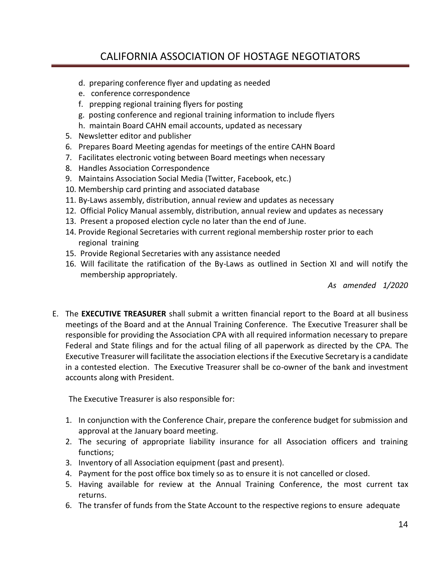- d. preparing conference flyer and updating as needed
- e. conference correspondence
- f. prepping regional training flyers for posting
- g. posting conference and regional training information to include flyers
- h. maintain Board CAHN email accounts, updated as necessary
- 5. Newsletter editor and publisher
- 6. Prepares Board Meeting agendas for meetings of the entire CAHN Board
- 7. Facilitates electronic voting between Board meetings when necessary
- 8. Handles Association Correspondence
- 9. Maintains Association Social Media (Twitter, Facebook, etc.)
- 10. Membership card printing and associated database
- 11. By-Laws assembly, distribution, annual review and updates as necessary
- 12. Official Policy Manual assembly, distribution, annual review and updates as necessary
- 13. Present a proposed election cycle no later than the end of June.
- 14. Provide Regional Secretaries with current regional membership roster prior to each regional training
- 15. Provide Regional Secretaries with any assistance needed
- 16. Will facilitate the ratification of the By-Laws as outlined in Section XI and will notify the membership appropriately.

*As amended 1/2020*

E. The **EXECUTIVE TREASURER** shall submit a written financial report to the Board at all business meetings of the Board and at the Annual Training Conference. The Executive Treasurer shall be responsible for providing the Association CPA with all required information necessary to prepare Federal and State filings and for the actual filing of all paperwork as directed by the CPA. The Executive Treasurer will facilitate the association elections if the Executive Secretary is a candidate in a contested election. The Executive Treasurer shall be co-owner of the bank and investment accounts along with President.

The Executive Treasurer is also responsible for:

- 1. In conjunction with the Conference Chair, prepare the conference budget for submission and approval at the January board meeting.
- 2. The securing of appropriate liability insurance for all Association officers and training functions;
- 3. Inventory of all Association equipment (past and present).
- 4. Payment for the post office box timely so as to ensure it is not cancelled or closed.
- 5. Having available for review at the Annual Training Conference, the most current tax returns.
- 6. The transfer of funds from the State Account to the respective regions to ensure adequate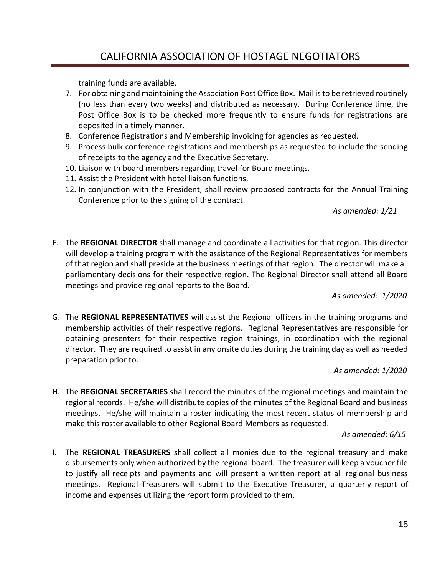training funds are available.

- 7. For obtaining and maintaining the Association Post Office Box. Mail is to be retrieved routinely (no less than every two weeks) and distributed as necessary. During Conference time, the Post Office Box is to be checked more frequently to ensure funds for registrations are deposited in a timely manner.
- 8. Conference Registrations and Membership invoicing for agencies as requested.
- 9. Process bulk conference registrations and memberships as requested to include the sending of receipts to the agency and the Executive Secretary.
- 10. Liaison with board members regarding travel for Board meetings.
- 11. Assist the President with hotel liaison functions.
- 12. In conjunction with the President, shall review proposed contracts for the Annual Training Conference prior to the signing of the contract.

#### *As amended: 1/21*

F. The **REGIONAL DIRECTOR** shall manage and coordinate all activities for that region. This director will develop a training program with the assistance of the Regional Representatives for members of that region and shall preside at the business meetings of that region. The director will make all parliamentary decisions for their respective region. The Regional Director shall attend all Board meetings and provide regional reports to the Board.

#### *As amended: 1/2020*

G. The **REGIONAL REPRESENTATIVES** will assist the Regional officers in the training programs and membership activities of their respective regions. Regional Representatives are responsible for obtaining presenters for their respective region trainings, in coordination with the regional director. They are required to assist in any onsite duties during the training day as well as needed preparation prior to.

#### *As amended: 1/2020*

H. The **REGIONAL SECRETARIES** shall record the minutes of the regional meetings and maintain the regional records. He/she will distribute copies of the minutes of the Regional Board and business meetings. He/she will maintain a roster indicating the most recent status of membership and make this roster available to other Regional Board Members as requested.

#### *As amended: 6/15*

I. The **REGIONAL TREASURERS** shall collect all monies due to the regional treasury and make disbursements only when authorized by the regional board. The treasurer will keep a voucher file to justify all receipts and payments and will present a written report at all regional business meetings. Regional Treasurers will submit to the Executive Treasurer, a quarterly report of income and expenses utilizing the report form provided to them.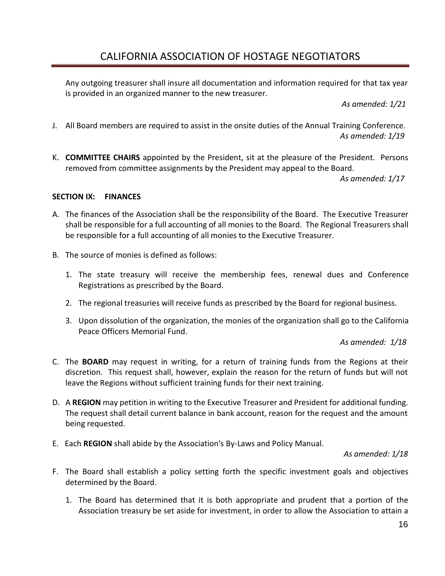Any outgoing treasurer shall insure all documentation and information required for that tax year is provided in an organized manner to the new treasurer.

*As amended: 1/21*

- J. All Board members are required to assist in the onsite duties of the Annual Training Conference. *As amended: 1/19*
- K. **COMMITTEE CHAIRS** appointed by the President, sit at the pleasure of the President. Persons removed from committee assignments by the President may appeal to the Board.

*As amended: 1/17*

#### **SECTION IX: FINANCES**

- A. The finances of the Association shall be the responsibility of the Board. The Executive Treasurer shall be responsible for a full accounting of all monies to the Board. The Regional Treasurers shall be responsible for a full accounting of all monies to the Executive Treasurer.
- B. The source of monies is defined as follows:
	- 1. The state treasury will receive the membership fees, renewal dues and Conference Registrations as prescribed by the Board.
	- 2. The regional treasuries will receive funds as prescribed by the Board for regional business.
	- 3. Upon dissolution of the organization, the monies of the organization shall go to the California Peace Officers Memorial Fund.

*As amended: 1/18*

- C. The **BOARD** may request in writing, for a return of training funds from the Regions at their discretion. This request shall, however, explain the reason for the return of funds but will not leave the Regions without sufficient training funds for their next training.
- D. A **REGION** may petition in writing to the Executive Treasurer and President for additional funding. The request shall detail current balance in bank account, reason for the request and the amount being requested.
- E. Each **REGION** shall abide by the Association's By-Laws and Policy Manual.

 *As amended: 1/18*

- F. The Board shall establish a policy setting forth the specific investment goals and objectives determined by the Board.
	- 1. The Board has determined that it is both appropriate and prudent that a portion of the Association treasury be set aside for investment, in order to allow the Association to attain a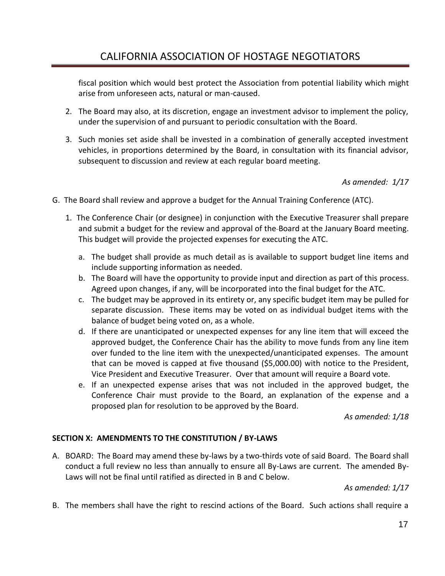fiscal position which would best protect the Association from potential liability which might arise from unforeseen acts, natural or man-caused.

- 2. The Board may also, at its discretion, engage an investment advisor to implement the policy, under the supervision of and pursuant to periodic consultation with the Board.
- 3. Such monies set aside shall be invested in a combination of generally accepted investment vehicles, in proportions determined by the Board, in consultation with its financial advisor, subsequent to discussion and review at each regular board meeting.

*As amended: 1/17*

- G. The Board shall review and approve a budget for the Annual Training Conference (ATC).
	- 1. The Conference Chair (or designee) in conjunction with the Executive Treasurer shall prepare and submit a budget for the review and approval of the Board at the January Board meeting. This budget will provide the projected expenses for executing the ATC.
		- a. The budget shall provide as much detail as is available to support budget line items and include supporting information as needed.
		- b. The Board will have the opportunity to provide input and direction as part of this process. Agreed upon changes, if any, will be incorporated into the final budget for the ATC.
		- c. The budget may be approved in its entirety or, any specific budget item may be pulled for separate discussion. These items may be voted on as individual budget items with the balance of budget being voted on, as a whole.
		- d. If there are unanticipated or unexpected expenses for any line item that will exceed the approved budget, the Conference Chair has the ability to move funds from any line item over funded to the line item with the unexpected/unanticipated expenses. The amount that can be moved is capped at five thousand (\$5,000.00) with notice to the President, Vice President and Executive Treasurer. Over that amount will require a Board vote.
		- e. If an unexpected expense arises that was not included in the approved budget, the Conference Chair must provide to the Board, an explanation of the expense and a proposed plan for resolution to be approved by the Board.

*As amended: 1/18*

#### **SECTION X: AMENDMENTS TO THE CONSTITUTION / BY-LAWS**

A. BOARD: The Board may amend these by-laws by a two-thirds vote of said Board. The Board shall conduct a full review no less than annually to ensure all By-Laws are current. The amended By-Laws will not be final until ratified as directed in B and C below.

*As amended: 1/17*

B. The members shall have the right to rescind actions of the Board. Such actions shall require a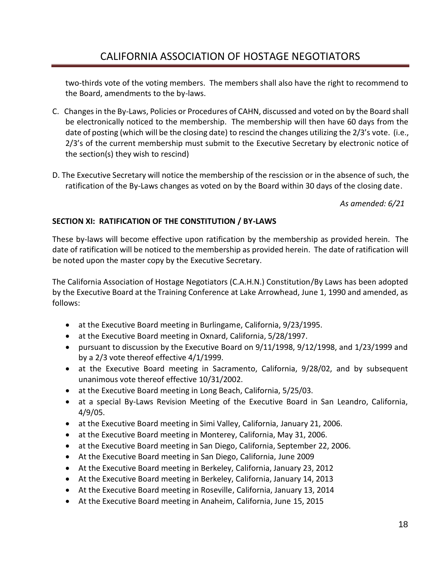two-thirds vote of the voting members. The members shall also have the right to recommend to the Board, amendments to the by-laws.

- C. Changes in the By-Laws, Policies or Procedures of CAHN, discussed and voted on by the Board shall be electronically noticed to the membership. The membership will then have 60 days from the date of posting (which will be the closing date) to rescind the changes utilizing the 2/3's vote. (i.e., 2/3's of the current membership must submit to the Executive Secretary by electronic notice of the section(s) they wish to rescind)
- D. The Executive Secretary will notice the membership of the rescission or in the absence of such, the ratification of the By-Laws changes as voted on by the Board within 30 days of the closing date.

*As amended: 6/21*

#### **SECTION XI: RATIFICATION OF THE CONSTITUTION / BY-LAWS**

These by-laws will become effective upon ratification by the membership as provided herein. The date of ratification will be noticed to the membership as provided herein. The date of ratification will be noted upon the master copy by the Executive Secretary.

The California Association of Hostage Negotiators (C.A.H.N.) Constitution/By Laws has been adopted by the Executive Board at the Training Conference at Lake Arrowhead, June 1, 1990 and amended, as follows:

- at the Executive Board meeting in Burlingame, California, 9/23/1995.
- at the Executive Board meeting in Oxnard, California, 5/28/1997.
- pursuant to discussion by the Executive Board on 9/11/1998, 9/12/1998, and 1/23/1999 and by a 2/3 vote thereof effective 4/1/1999.
- at the Executive Board meeting in Sacramento, California, 9/28/02, and by subsequent unanimous vote thereof effective 10/31/2002.
- at the Executive Board meeting in Long Beach, California, 5/25/03.
- at a special By-Laws Revision Meeting of the Executive Board in San Leandro, California, 4/9/05.
- at the Executive Board meeting in Simi Valley, California, January 21, 2006.
- at the Executive Board meeting in Monterey, California, May 31, 2006.
- at the Executive Board meeting in San Diego, California, September 22, 2006.
- At the Executive Board meeting in San Diego, California, June 2009
- At the Executive Board meeting in Berkeley, California, January 23, 2012
- At the Executive Board meeting in Berkeley, California, January 14, 2013
- At the Executive Board meeting in Roseville, California, January 13, 2014
- At the Executive Board meeting in Anaheim, California, June 15, 2015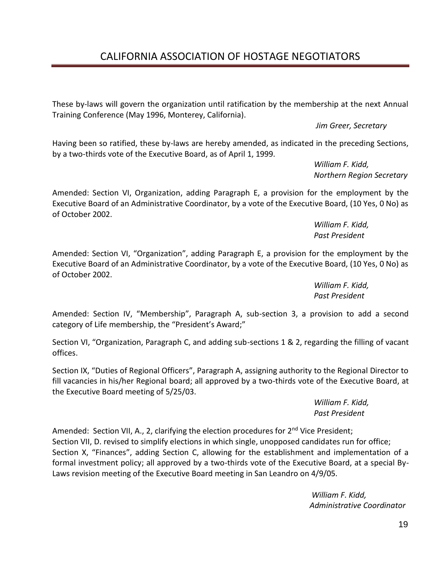These by-laws will govern the organization until ratification by the membership at the next Annual Training Conference (May 1996, Monterey, California).

*Jim Greer, Secretary*

Having been so ratified, these by-laws are hereby amended, as indicated in the preceding Sections, by a two-thirds vote of the Executive Board, as of April 1, 1999.

> *William F. Kidd, Northern Region Secretary*

Amended: Section VI, Organization, adding Paragraph E, a provision for the employment by the Executive Board of an Administrative Coordinator, by a vote of the Executive Board, (10 Yes, 0 No) as of October 2002.

> *William F. Kidd, Past President*

Amended: Section VI, "Organization", adding Paragraph E, a provision for the employment by the Executive Board of an Administrative Coordinator, by a vote of the Executive Board, (10 Yes, 0 No) as of October 2002.

> *William F. Kidd, Past President*

Amended: Section IV, "Membership", Paragraph A, sub-section 3, a provision to add a second category of Life membership, the "President's Award;"

Section VI, "Organization, Paragraph C, and adding sub-sections 1 & 2, regarding the filling of vacant offices.

Section IX, "Duties of Regional Officers", Paragraph A, assigning authority to the Regional Director to fill vacancies in his/her Regional board; all approved by a two-thirds vote of the Executive Board, at the Executive Board meeting of 5/25/03.

> *William F. Kidd, Past President*

Amended: Section VII, A., 2, clarifying the election procedures for  $2^{nd}$  Vice President; Section VII, D. revised to simplify elections in which single, unopposed candidates run for office; Section X, "Finances", adding Section C, allowing for the establishment and implementation of a formal investment policy; all approved by a two-thirds vote of the Executive Board, at a special By-Laws revision meeting of the Executive Board meeting in San Leandro on 4/9/05.

> *William F. Kidd, Administrative Coordinator*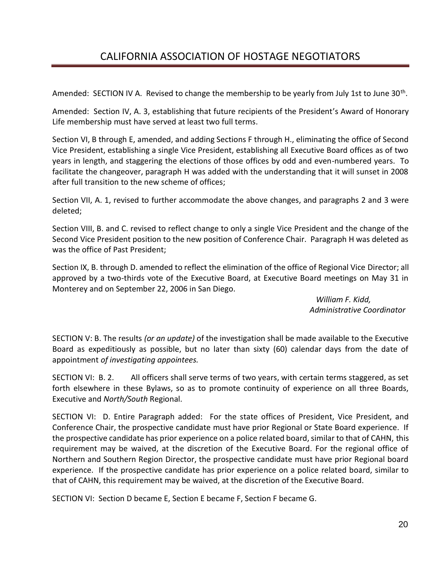Amended: SECTION IV A. Revised to change the membership to be yearly from July 1st to June 30<sup>th</sup>.

Amended: Section IV, A. 3, establishing that future recipients of the President's Award of Honorary Life membership must have served at least two full terms.

Section VI, B through E, amended, and adding Sections F through H., eliminating the office of Second Vice President, establishing a single Vice President, establishing all Executive Board offices as of two years in length, and staggering the elections of those offices by odd and even-numbered years. To facilitate the changeover, paragraph H was added with the understanding that it will sunset in 2008 after full transition to the new scheme of offices;

Section VII, A. 1, revised to further accommodate the above changes, and paragraphs 2 and 3 were deleted;

Section VIII, B. and C. revised to reflect change to only a single Vice President and the change of the Second Vice President position to the new position of Conference Chair. Paragraph H was deleted as was the office of Past President;

Section IX, B. through D. amended to reflect the elimination of the office of Regional Vice Director; all approved by a two-thirds vote of the Executive Board, at Executive Board meetings on May 31 in Monterey and on September 22, 2006 in San Diego.

> *William F. Kidd, Administrative Coordinator*

SECTION V: B. The results *(or an update)* of the investigation shall be made available to the Executive Board as expeditiously as possible, but no later than sixty (60) calendar days from the date of appointment *of investigating appointees.*

SECTION VI: B. 2. All officers shall serve terms of two years, with certain terms staggered, as set forth elsewhere in these Bylaws, so as to promote continuity of experience on all three Boards, Executive and *North/South* Regional.

SECTION VI: D. Entire Paragraph added: For the state offices of President, Vice President, and Conference Chair, the prospective candidate must have prior Regional or State Board experience. If the prospective candidate has prior experience on a police related board, similar to that of CAHN, this requirement may be waived, at the discretion of the Executive Board. For the regional office of Northern and Southern Region Director, the prospective candidate must have prior Regional board experience. If the prospective candidate has prior experience on a police related board, similar to that of CAHN, this requirement may be waived, at the discretion of the Executive Board.

SECTION VI: Section D became E, Section E became F, Section F became G.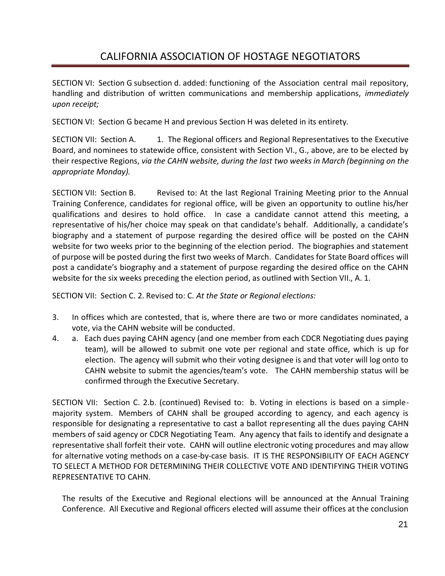SECTION VI: Section G subsection d. added: functioning of the Association central mail repository, handling and distribution of written communications and membership applications, *immediately upon receipt;*

SECTION VI: Section G became H and previous Section H was deleted in its entirety.

SECTION VII: Section A. 1. The Regional officers and Regional Representatives to the Executive Board, and nominees to statewide office, consistent with Section VI., G., above, are to be elected by their respective Regions, *via the CAHN website, during the last two weeks in March (beginning on the appropriate Monday).*

SECTION VII: Section B. Revised to: At the last Regional Training Meeting prior to the Annual Training Conference, candidates for regional office, will be given an opportunity to outline his/her qualifications and desires to hold office. In case a candidate cannot attend this meeting, a representative of his/her choice may speak on that candidate's behalf. Additionally, a candidate's biography and a statement of purpose regarding the desired office will be posted on the CAHN website for two weeks prior to the beginning of the election period. The biographies and statement of purpose will be posted during the first two weeks of March. Candidates for State Board offices will post a candidate's biography and a statement of purpose regarding the desired office on the CAHN website for the six weeks preceding the election period, as outlined with Section VII., A. 1.

SECTION VII: Section C. 2. Revised to: C. *At the State or Regional elections:*

- 3. In offices which are contested, that is, where there are two or more candidates nominated, a vote, via the CAHN website will be conducted.
- 4. a. Each dues paying CAHN agency (and one member from each CDCR Negotiating dues paying team), will be allowed to submit one vote per regional and state office, which is up for election. The agency will submit who their voting designee is and that voter will log onto to CAHN website to submit the agencies/team's vote. The CAHN membership status will be confirmed through the Executive Secretary.

SECTION VII: Section C. 2.b. (continued) Revised to: b. Voting in elections is based on a simplemajority system. Members of CAHN shall be grouped according to agency, and each agency is responsible for designating a representative to cast a ballot representing all the dues paying CAHN members of said agency or CDCR Negotiating Team. Any agency that fails to identify and designate a representative shall forfeit their vote. CAHN will outline electronic voting procedures and may allow for alternative voting methods on a case-by-case basis. IT IS THE RESPONSIBILITY OF EACH AGENCY TO SELECT A METHOD FOR DETERMINING THEIR COLLECTIVE VOTE AND IDENTIFYING THEIR VOTING REPRESENTATIVE TO CAHN.

The results of the Executive and Regional elections will be announced at the Annual Training Conference. All Executive and Regional officers elected will assume their offices at the conclusion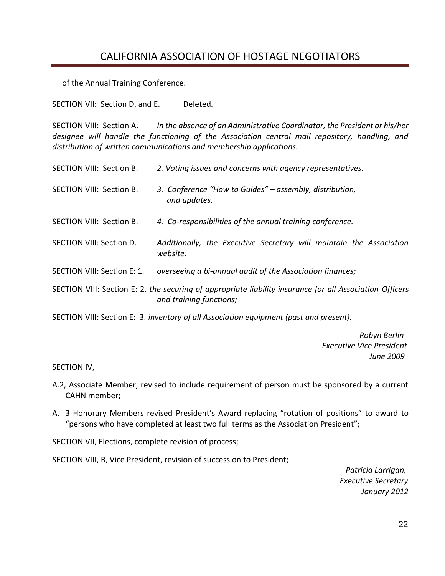of the Annual Training Conference.

SECTION VII: Section D. and E. Deleted*.*

SECTION VIII: Section A. *In the absence of an Administrative Coordinator, the President or his/her designee will handle the functioning of the Association central mail repository, handling, and distribution of written communications and membership applications.*

- SECTION VIII: Section B. *2. Voting issues and concerns with agency representatives.*
- SECTION VIII: Section B. *3. Conference "How to Guides" – assembly, distribution, and updates.*
- SECTION VIII: Section B. *4. Co-responsibilities of the annual training conference.*
- SECTION VIII: Section D. *Additionally, the Executive Secretary will maintain the Association website.*
- SECTION VIII: Section E: 1. *overseeing a bi-annual audit of the Association finances;*

SECTION VIII: Section E: 2. *the securing of appropriate liability insurance for all Association Officers and training functions;*

SECTION VIII: Section E: 3. *inventory of all Association equipment (past and present).*

 *Robyn Berlin Executive Vice President June 2009*

SECTION IV,

- A.2, Associate Member, revised to include requirement of person must be sponsored by a current CAHN member;
- A. 3 Honorary Members revised President's Award replacing "rotation of positions" to award to "persons who have completed at least two full terms as the Association President";

SECTION VII, Elections, complete revision of process;

SECTION VIII, B, Vice President, revision of succession to President;

 *Patricia Larrigan, Executive Secretary January 2012*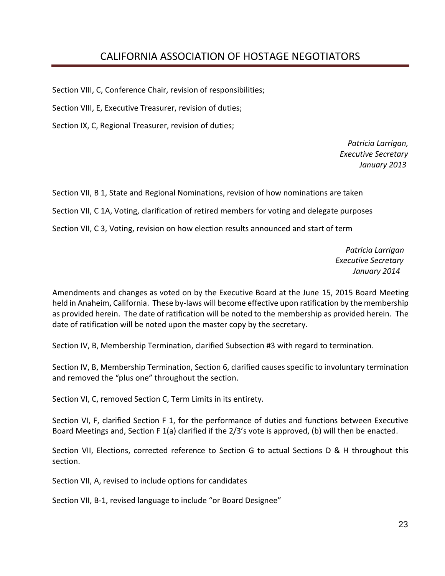Section VIII, C, Conference Chair, revision of responsibilities;

Section VIII, E, Executive Treasurer, revision of duties;

Section IX, C, Regional Treasurer, revision of duties;

 *Patricia Larrigan, Executive Secretary January 2013*

Section VII, B 1, State and Regional Nominations, revision of how nominations are taken Section VII, C 1A, Voting, clarification of retired members for voting and delegate purposes Section VII, C 3, Voting, revision on how election results announced and start of term

> *Patricia Larrigan Executive Secretary January 2014*

Amendments and changes as voted on by the Executive Board at the June 15, 2015 Board Meeting held in Anaheim, California. These by-laws will become effective upon ratification by the membership as provided herein. The date of ratification will be noted to the membership as provided herein. The date of ratification will be noted upon the master copy by the secretary.

Section IV, B, Membership Termination, clarified Subsection #3 with regard to termination.

Section IV, B, Membership Termination, Section 6, clarified causes specific to involuntary termination and removed the "plus one" throughout the section.

Section VI, C, removed Section C, Term Limits in its entirety.

Section VI, F, clarified Section F 1, for the performance of duties and functions between Executive Board Meetings and, Section F 1(a) clarified if the 2/3's vote is approved, (b) will then be enacted.

Section VII, Elections, corrected reference to Section G to actual Sections D & H throughout this section.

Section VII, A, revised to include options for candidates

Section VII, B-1, revised language to include "or Board Designee"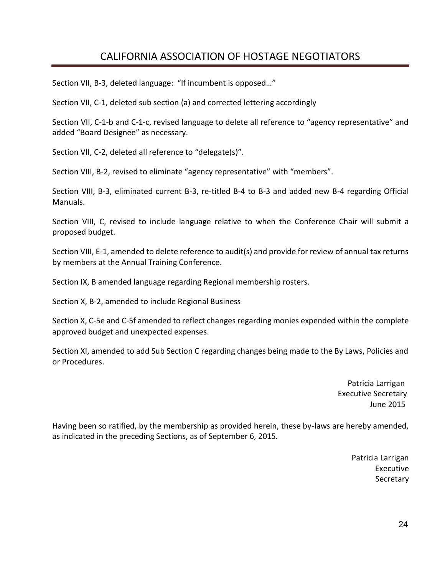Section VII, B-3, deleted language: "If incumbent is opposed…"

Section VII, C-1, deleted sub section (a) and corrected lettering accordingly

Section VII, C-1-b and C-1-c, revised language to delete all reference to "agency representative" and added "Board Designee" as necessary.

Section VII, C-2, deleted all reference to "delegate(s)".

Section VIII, B-2, revised to eliminate "agency representative" with "members".

Section VIII, B-3, eliminated current B-3, re-titled B-4 to B-3 and added new B-4 regarding Official Manuals.

Section VIII, C, revised to include language relative to when the Conference Chair will submit a proposed budget.

Section VIII, E-1, amended to delete reference to audit(s) and provide for review of annual tax returns by members at the Annual Training Conference.

Section IX, B amended language regarding Regional membership rosters.

Section X, B-2, amended to include Regional Business

Section X, C-5e and C-5f amended to reflect changes regarding monies expended within the complete approved budget and unexpected expenses.

Section XI, amended to add Sub Section C regarding changes being made to the By Laws, Policies and or Procedures.

> Patricia Larrigan Executive Secretary June 2015

Having been so ratified, by the membership as provided herein, these by-laws are hereby amended, as indicated in the preceding Sections, as of September 6, 2015.

> Patricia Larrigan Executive **Secretary**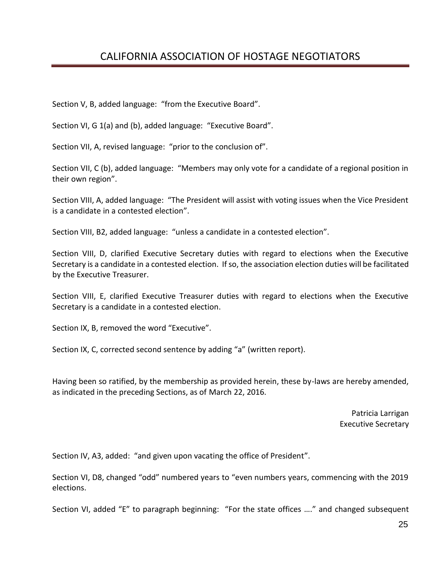Section V, B, added language: "from the Executive Board".

Section VI, G 1(a) and (b), added language: "Executive Board".

Section VII, A, revised language: "prior to the conclusion of".

Section VII, C (b), added language: "Members may only vote for a candidate of a regional position in their own region".

Section VIII, A, added language: "The President will assist with voting issues when the Vice President is a candidate in a contested election".

Section VIII, B2, added language: "unless a candidate in a contested election".

Section VIII, D, clarified Executive Secretary duties with regard to elections when the Executive Secretary is a candidate in a contested election. If so, the association election duties will be facilitated by the Executive Treasurer.

Section VIII, E, clarified Executive Treasurer duties with regard to elections when the Executive Secretary is a candidate in a contested election.

Section IX, B, removed the word "Executive".

Section IX, C, corrected second sentence by adding "a" (written report).

Having been so ratified, by the membership as provided herein, these by-laws are hereby amended, as indicated in the preceding Sections, as of March 22, 2016.

> Patricia Larrigan Executive Secretary

Section IV, A3, added: "and given upon vacating the office of President".

Section VI, D8, changed "odd" numbered years to "even numbers years, commencing with the 2019 elections.

Section VI, added "E" to paragraph beginning: "For the state offices …." and changed subsequent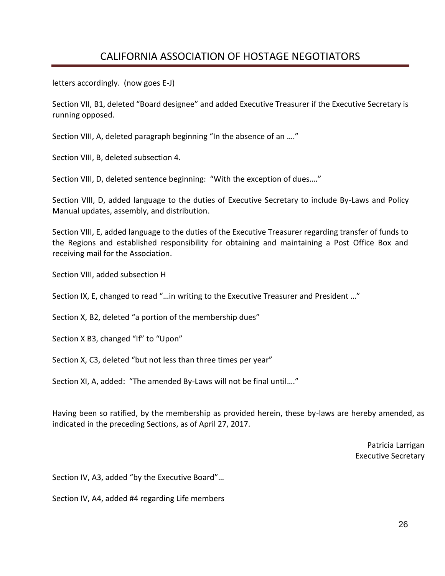letters accordingly. (now goes E-J)

Section VII, B1, deleted "Board designee" and added Executive Treasurer if the Executive Secretary is running opposed.

Section VIII, A, deleted paragraph beginning "In the absence of an …."

Section VIII, B, deleted subsection 4.

Section VIII, D, deleted sentence beginning: "With the exception of dues…."

Section VIII, D, added language to the duties of Executive Secretary to include By-Laws and Policy Manual updates, assembly, and distribution.

Section VIII, E, added language to the duties of the Executive Treasurer regarding transfer of funds to the Regions and established responsibility for obtaining and maintaining a Post Office Box and receiving mail for the Association.

Section VIII, added subsection H

Section IX, E, changed to read "…in writing to the Executive Treasurer and President …"

Section X, B2, deleted "a portion of the membership dues"

Section X B3, changed "If" to "Upon"

Section X, C3, deleted "but not less than three times per year"

Section XI, A, added: "The amended By-Laws will not be final until…."

Having been so ratified, by the membership as provided herein, these by-laws are hereby amended, as indicated in the preceding Sections, as of April 27, 2017.

> Patricia Larrigan Executive Secretary

Section IV, A3, added "by the Executive Board"…

Section IV, A4, added #4 regarding Life members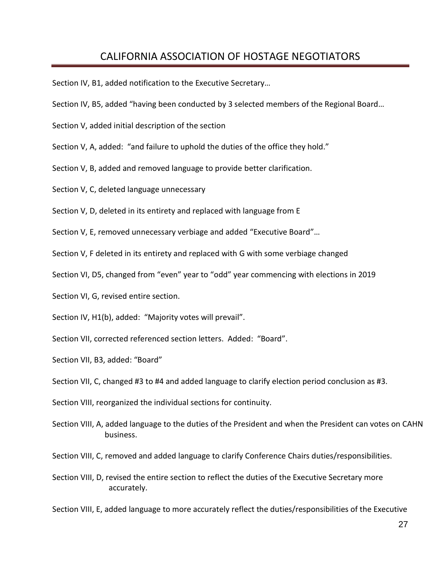Section IV, B1, added notification to the Executive Secretary…

- Section IV, B5, added "having been conducted by 3 selected members of the Regional Board…
- Section V, added initial description of the section
- Section V, A, added: "and failure to uphold the duties of the office they hold."
- Section V, B, added and removed language to provide better clarification.
- Section V, C, deleted language unnecessary
- Section V, D, deleted in its entirety and replaced with language from E
- Section V, E, removed unnecessary verbiage and added "Executive Board"…
- Section V, F deleted in its entirety and replaced with G with some verbiage changed
- Section VI, D5, changed from "even" year to "odd" year commencing with elections in 2019
- Section VI, G, revised entire section.
- Section IV, H1(b), added: "Majority votes will prevail".
- Section VII, corrected referenced section letters. Added: "Board".
- Section VII, B3, added: "Board"
- Section VII, C, changed #3 to #4 and added language to clarify election period conclusion as #3.
- Section VIII, reorganized the individual sections for continuity.
- Section VIII, A, added language to the duties of the President and when the President can votes on CAHN business.
- Section VIII, C, removed and added language to clarify Conference Chairs duties/responsibilities.
- Section VIII, D, revised the entire section to reflect the duties of the Executive Secretary more accurately.

Section VIII, E, added language to more accurately reflect the duties/responsibilities of the Executive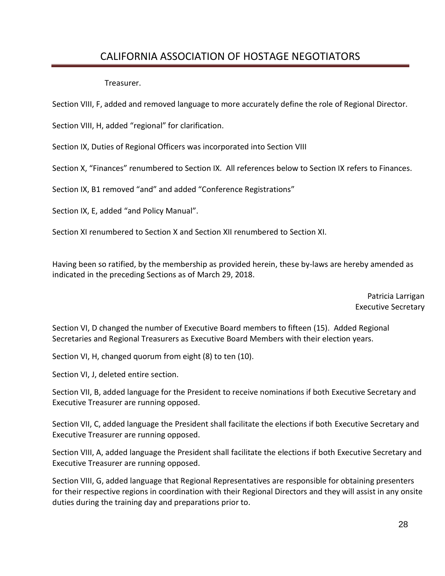Treasurer.

Section VIII, F, added and removed language to more accurately define the role of Regional Director.

Section VIII, H, added "regional" for clarification.

Section IX, Duties of Regional Officers was incorporated into Section VIII

Section X, "Finances" renumbered to Section IX. All references below to Section IX refers to Finances.

Section IX, B1 removed "and" and added "Conference Registrations"

Section IX, E, added "and Policy Manual".

Section XI renumbered to Section X and Section XII renumbered to Section XI.

Having been so ratified, by the membership as provided herein, these by-laws are hereby amended as indicated in the preceding Sections as of March 29, 2018.

> Patricia Larrigan Executive Secretary

Section VI, D changed the number of Executive Board members to fifteen (15). Added Regional Secretaries and Regional Treasurers as Executive Board Members with their election years.

Section VI, H, changed quorum from eight (8) to ten (10).

Section VI, J, deleted entire section.

Section VII, B, added language for the President to receive nominations if both Executive Secretary and Executive Treasurer are running opposed.

Section VII, C, added language the President shall facilitate the elections if both Executive Secretary and Executive Treasurer are running opposed.

Section VIII, A, added language the President shall facilitate the elections if both Executive Secretary and Executive Treasurer are running opposed.

Section VIII, G, added language that Regional Representatives are responsible for obtaining presenters for their respective regions in coordination with their Regional Directors and they will assist in any onsite duties during the training day and preparations prior to.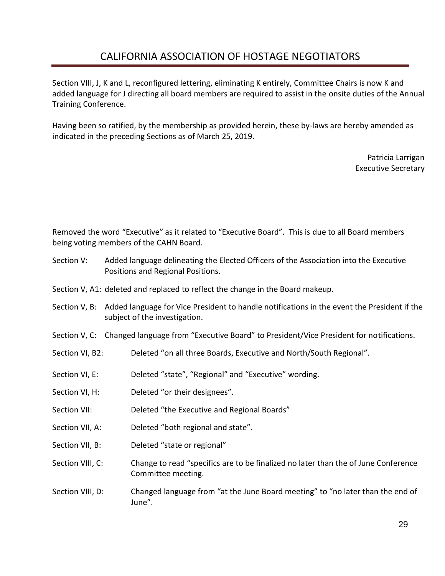Section VIII, J, K and L, reconfigured lettering, eliminating K entirely, Committee Chairs is now K and added language for J directing all board members are required to assist in the onsite duties of the Annual Training Conference.

Having been so ratified, by the membership as provided herein, these by-laws are hereby amended as indicated in the preceding Sections as of March 25, 2019.

> Patricia Larrigan Executive Secretary

Removed the word "Executive" as it related to "Executive Board". This is due to all Board members being voting members of the CAHN Board.

- Section V: Added language delineating the Elected Officers of the Association into the Executive Positions and Regional Positions.
- Section V, A1: deleted and replaced to reflect the change in the Board makeup.
- Section V, B: Added language for Vice President to handle notifications in the event the President if the subject of the investigation.
- Section V, C: Changed language from "Executive Board" to President/Vice President for notifications.
- Section VI, B2: Deleted "on all three Boards, Executive and North/South Regional".
- Section VI, E: Deleted "state", "Regional" and "Executive" wording.
- Section VI, H: Deleted "or their designees".
- Section VII: Deleted "the Executive and Regional Boards"
- Section VII, A: Deleted "both regional and state".
- Section VII, B: Deleted "state or regional"
- Section VIII, C: Change to read "specifics are to be finalized no later than the of June Conference Committee meeting.
- Section VIII, D: Changed language from "at the June Board meeting" to "no later than the end of June".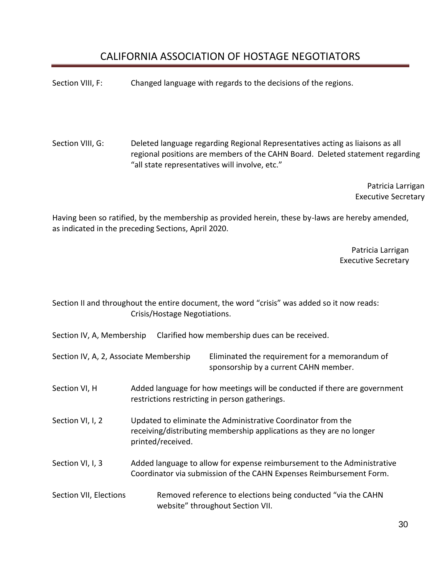Section VIII, F: Changed language with regards to the decisions of the regions.

Section VIII, G: Deleted language regarding Regional Representatives acting as liaisons as all regional positions are members of the CAHN Board. Deleted statement regarding "all state representatives will involve, etc."

> Patricia Larrigan Executive Secretary

Having been so ratified, by the membership as provided herein, these by-laws are hereby amended, as indicated in the preceding Sections, April 2020.

> Patricia Larrigan Executive Secretary

Section II and throughout the entire document, the word "crisis" was added so it now reads: Crisis/Hostage Negotiations.

Section IV, A, Membership Clarified how membership dues can be received.

Section IV, A, 2, Associate Membership Eliminated the requirement for a memorandum of sponsorship by a current CAHN member.

- Section VI, H Added language for how meetings will be conducted if there are government restrictions restricting in person gatherings.
- Section VI, I, 2 Updated to eliminate the Administrative Coordinator from the receiving/distributing membership applications as they are no longer printed/received.
- Section VI, I, 3 Added language to allow for expense reimbursement to the Administrative Coordinator via submission of the CAHN Expenses Reimbursement Form.
- Section VII, Elections Removed reference to elections being conducted "via the CAHN website" throughout Section VII.